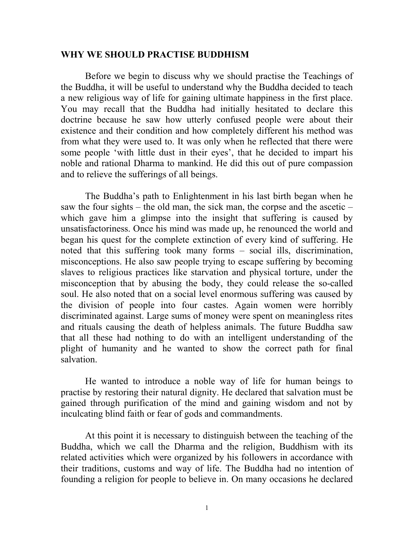## **WHY WE SHOULD PRACTISE BUDDHISM**

Before we begin to discuss why we should practise the Teachings of the Buddha, it will be useful to understand why the Buddha decided to teach a new religious way of life for gaining ultimate happiness in the first place. You may recall that the Buddha had initially hesitated to declare this doctrine because he saw how utterly confused people were about their existence and their condition and how completely different his method was from what they were used to. It was only when he reflected that there were some people 'with little dust in their eyes', that he decided to impart his noble and rational Dharma to mankind. He did this out of pure compassion and to relieve the sufferings of all beings.

The Buddha's path to Enlightenment in his last birth began when he saw the four sights – the old man, the sick man, the corpse and the ascetic – which gave him a glimpse into the insight that suffering is caused by unsatisfactoriness. Once his mind was made up, he renounced the world and began his quest for the complete extinction of every kind of suffering. He noted that this suffering took many forms – social ills, discrimination, misconceptions. He also saw people trying to escape suffering by becoming slaves to religious practices like starvation and physical torture, under the misconception that by abusing the body, they could release the so-called soul. He also noted that on a social level enormous suffering was caused by the division of people into four castes. Again women were horribly discriminated against. Large sums of money were spent on meaningless rites and rituals causing the death of helpless animals. The future Buddha saw that all these had nothing to do with an intelligent understanding of the plight of humanity and he wanted to show the correct path for final salvation.

He wanted to introduce a noble way of life for human beings to practise by restoring their natural dignity. He declared that salvation must be gained through purification of the mind and gaining wisdom and not by inculcating blind faith or fear of gods and commandments.

At this point it is necessary to distinguish between the teaching of the Buddha, which we call the Dharma and the religion, Buddhism with its related activities which were organized by his followers in accordance with their traditions, customs and way of life. The Buddha had no intention of founding a religion for people to believe in. On many occasions he declared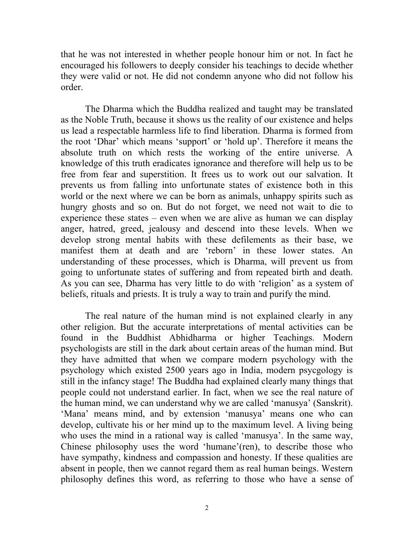that he was not interested in whether people honour him or not. In fact he encouraged his followers to deeply consider his teachings to decide whether they were valid or not. He did not condemn anyone who did not follow his order.

The Dharma which the Buddha realized and taught may be translated as the Noble Truth, because it shows us the reality of our existence and helps us lead a respectable harmless life to find liberation. Dharma is formed from the root 'Dhar' which means 'support' or 'hold up'. Therefore it means the absolute truth on which rests the working of the entire universe. A knowledge of this truth eradicates ignorance and therefore will help us to be free from fear and superstition. It frees us to work out our salvation. It prevents us from falling into unfortunate states of existence both in this world or the next where we can be born as animals, unhappy spirits such as hungry ghosts and so on. But do not forget, we need not wait to die to experience these states – even when we are alive as human we can display anger, hatred, greed, jealousy and descend into these levels. When we develop strong mental habits with these defilements as their base, we manifest them at death and are 'reborn' in these lower states. An understanding of these processes, which is Dharma, will prevent us from going to unfortunate states of suffering and from repeated birth and death. As you can see, Dharma has very little to do with 'religion' as a system of beliefs, rituals and priests. It is truly a way to train and purify the mind.

The real nature of the human mind is not explained clearly in any other religion. But the accurate interpretations of mental activities can be found in the Buddhist Abhidharma or higher Teachings. Modern psychologists are still in the dark about certain areas of the human mind. But they have admitted that when we compare modern psychology with the psychology which existed 2500 years ago in India, modern psycgology is still in the infancy stage! The Buddha had explained clearly many things that people could not understand earlier. In fact, when we see the real nature of the human mind, we can understand why we are called 'manusya' (Sanskrit). 'Mana' means mind, and by extension 'manusya' means one who can develop, cultivate his or her mind up to the maximum level. A living being who uses the mind in a rational way is called 'manusya'. In the same way, Chinese philosophy uses the word 'humane'(ren), to describe those who have sympathy, kindness and compassion and honesty. If these qualities are absent in people, then we cannot regard them as real human beings. Western philosophy defines this word, as referring to those who have a sense of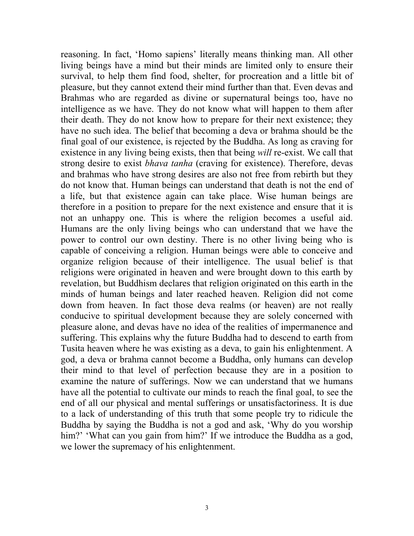reasoning. In fact, 'Homo sapiens' literally means thinking man. All other living beings have a mind but their minds are limited only to ensure their survival, to help them find food, shelter, for procreation and a little bit of pleasure, but they cannot extend their mind further than that. Even devas and Brahmas who are regarded as divine or supernatural beings too, have no intelligence as we have. They do not know what will happen to them after their death. They do not know how to prepare for their next existence; they have no such idea. The belief that becoming a deva or brahma should be the final goal of our existence, is rejected by the Buddha. As long as craving for existence in any living being exists, then that being *will* re-exist. We call that strong desire to exist *bhava tanha* (craving for existence). Therefore, devas and brahmas who have strong desires are also not free from rebirth but they do not know that. Human beings can understand that death is not the end of a life, but that existence again can take place. Wise human beings are therefore in a position to prepare for the next existence and ensure that it is not an unhappy one. This is where the religion becomes a useful aid. Humans are the only living beings who can understand that we have the power to control our own destiny. There is no other living being who is capable of conceiving a religion. Human beings were able to conceive and organize religion because of their intelligence. The usual belief is that religions were originated in heaven and were brought down to this earth by revelation, but Buddhism declares that religion originated on this earth in the minds of human beings and later reached heaven. Religion did not come down from heaven. In fact those deva realms (or heaven) are not really conducive to spiritual development because they are solely concerned with pleasure alone, and devas have no idea of the realities of impermanence and suffering. This explains why the future Buddha had to descend to earth from Tusita heaven where he was existing as a deva, to gain his enlightenment. A god, a deva or brahma cannot become a Buddha, only humans can develop their mind to that level of perfection because they are in a position to examine the nature of sufferings. Now we can understand that we humans have all the potential to cultivate our minds to reach the final goal, to see the end of all our physical and mental sufferings or unsatisfactoriness. It is due to a lack of understanding of this truth that some people try to ridicule the Buddha by saying the Buddha is not a god and ask, 'Why do you worship him?' 'What can you gain from him?' If we introduce the Buddha as a god, we lower the supremacy of his enlightenment.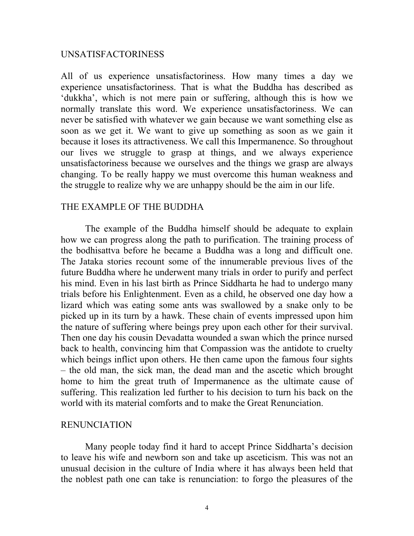## UNSATISFACTORINESS

All of us experience unsatisfactoriness. How many times a day we experience unsatisfactoriness. That is what the Buddha has described as 'dukkha', which is not mere pain or suffering, although this is how we normally translate this word. We experience unsatisfactoriness. We can never be satisfied with whatever we gain because we want something else as soon as we get it. We want to give up something as soon as we gain it because it loses its attractiveness. We call this Impermanence. So throughout our lives we struggle to grasp at things, and we always experience unsatisfactoriness because we ourselves and the things we grasp are always changing. To be really happy we must overcome this human weakness and the struggle to realize why we are unhappy should be the aim in our life.

## THE EXAMPLE OF THE BUDDHA

The example of the Buddha himself should be adequate to explain how we can progress along the path to purification. The training process of the bodhisattva before he became a Buddha was a long and difficult one. The Jataka stories recount some of the innumerable previous lives of the future Buddha where he underwent many trials in order to purify and perfect his mind. Even in his last birth as Prince Siddharta he had to undergo many trials before his Enlightenment. Even as a child, he observed one day how a lizard which was eating some ants was swallowed by a snake only to be picked up in its turn by a hawk. These chain of events impressed upon him the nature of suffering where beings prey upon each other for their survival. Then one day his cousin Devadatta wounded a swan which the prince nursed back to health, convincing him that Compassion was the antidote to cruelty which beings inflict upon others. He then came upon the famous four sights – the old man, the sick man, the dead man and the ascetic which brought home to him the great truth of Impermanence as the ultimate cause of suffering. This realization led further to his decision to turn his back on the world with its material comforts and to make the Great Renunciation.

#### RENUNCIATION

Many people today find it hard to accept Prince Siddharta's decision to leave his wife and newborn son and take up asceticism. This was not an unusual decision in the culture of India where it has always been held that the noblest path one can take is renunciation: to forgo the pleasures of the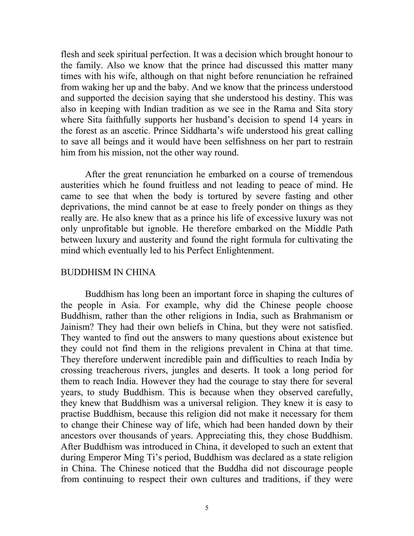flesh and seek spiritual perfection. It was a decision which brought honour to the family. Also we know that the prince had discussed this matter many times with his wife, although on that night before renunciation he refrained from waking her up and the baby. And we know that the princess understood and supported the decision saying that she understood his destiny. This was also in keeping with Indian tradition as we see in the Rama and Sita story where Sita faithfully supports her husband's decision to spend 14 years in the forest as an ascetic. Prince Siddharta's wife understood his great calling to save all beings and it would have been selfishness on her part to restrain him from his mission, not the other way round.

After the great renunciation he embarked on a course of tremendous austerities which he found fruitless and not leading to peace of mind. He came to see that when the body is tortured by severe fasting and other deprivations, the mind cannot be at ease to freely ponder on things as they really are. He also knew that as a prince his life of excessive luxury was not only unprofitable but ignoble. He therefore embarked on the Middle Path between luxury and austerity and found the right formula for cultivating the mind which eventually led to his Perfect Enlightenment.

#### BUDDHISM IN CHINA

Buddhism has long been an important force in shaping the cultures of the people in Asia. For example, why did the Chinese people choose Buddhism, rather than the other religions in India, such as Brahmanism or Jainism? They had their own beliefs in China, but they were not satisfied. They wanted to find out the answers to many questions about existence but they could not find them in the religions prevalent in China at that time. They therefore underwent incredible pain and difficulties to reach India by crossing treacherous rivers, jungles and deserts. It took a long period for them to reach India. However they had the courage to stay there for several years, to study Buddhism. This is because when they observed carefully, they knew that Buddhism was a universal religion. They knew it is easy to practise Buddhism, because this religion did not make it necessary for them to change their Chinese way of life, which had been handed down by their ancestors over thousands of years. Appreciating this, they chose Buddhism. After Buddhism was introduced in China, it developed to such an extent that during Emperor Ming Ti's period, Buddhism was declared as a state religion in China. The Chinese noticed that the Buddha did not discourage people from continuing to respect their own cultures and traditions, if they were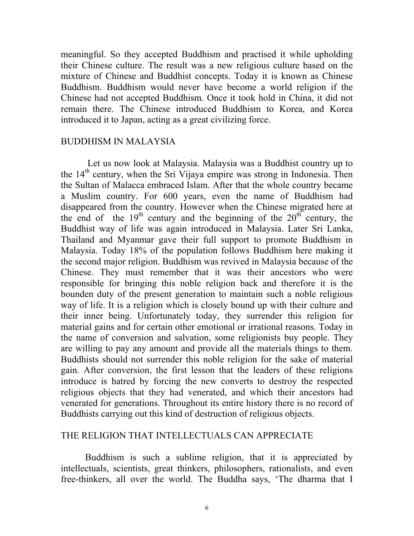meaningful. So they accepted Buddhism and practised it while upholding their Chinese culture. The result was a new religious culture based on the mixture of Chinese and Buddhist concepts. Today it is known as Chinese Buddhism. Buddhism would never have become a world religion if the Chinese had not accepted Buddhism. Once it took hold in China, it did not remain there. The Chinese introduced Buddhism to Korea, and Korea introduced it to Japan, acting as a great civilizing force.

## BUDDHISM IN MALAYSIA

Let us now look at Malaysia. Malaysia was a Buddhist country up to the  $14<sup>th</sup>$  century, when the Sri Vijaya empire was strong in Indonesia. Then the Sultan of Malacca embraced Islam. After that the whole country became a Muslim country. For 600 years, even the name of Buddhism had disappeared from the country. However when the Chinese migrated here at the end of the  $19<sup>th</sup>$  century and the beginning of the  $20<sup>th</sup>$  century, the Buddhist way of life was again introduced in Malaysia. Later Sri Lanka, Thailand and Myanmar gave their full support to promote Buddhism in Malaysia. Today 18% of the population follows Buddhism here making it the second major religion. Buddhism was revived in Malaysia because of the Chinese. They must remember that it was their ancestors who were responsible for bringing this noble religion back and therefore it is the bounden duty of the present generation to maintain such a noble religious way of life. It is a religion which is closely bound up with their culture and their inner being. Unfortunately today, they surrender this religion for material gains and for certain other emotional or irrational reasons. Today in the name of conversion and salvation, some religionists buy people. They are willing to pay any amount and provide all the materials things to them. Buddhists should not surrender this noble religion for the sake of material gain. After conversion, the first lesson that the leaders of these religions introduce is hatred by forcing the new converts to destroy the respected religious objects that they had venerated, and which their ancestors had venerated for generations. Throughout its entire history there is no record of Buddhists carrying out this kind of destruction of religious objects.

## THE RELIGION THAT INTELLECTUALS CAN APPRECIATE

Buddhism is such a sublime religion, that it is appreciated by intellectuals, scientists, great thinkers, philosophers, rationalists, and even free-thinkers, all over the world. The Buddha says, 'The dharma that I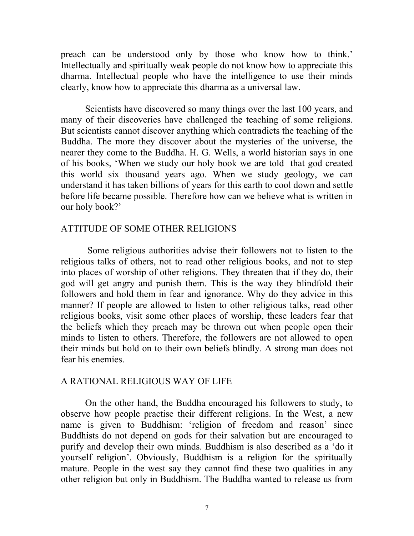preach can be understood only by those who know how to think.' Intellectually and spiritually weak people do not know how to appreciate this dharma. Intellectual people who have the intelligence to use their minds clearly, know how to appreciate this dharma as a universal law.

Scientists have discovered so many things over the last 100 years, and many of their discoveries have challenged the teaching of some religions. But scientists cannot discover anything which contradicts the teaching of the Buddha. The more they discover about the mysteries of the universe, the nearer they come to the Buddha. H. G. Wells, a world historian says in one of his books, 'When we study our holy book we are told that god created this world six thousand years ago. When we study geology, we can understand it has taken billions of years for this earth to cool down and settle before life became possible. Therefore how can we believe what is written in our holy book?'

## ATTITUDE OF SOME OTHER RELIGIONS

Some religious authorities advise their followers not to listen to the religious talks of others, not to read other religious books, and not to step into places of worship of other religions. They threaten that if they do, their god will get angry and punish them. This is the way they blindfold their followers and hold them in fear and ignorance. Why do they advice in this manner? If people are allowed to listen to other religious talks, read other religious books, visit some other places of worship, these leaders fear that the beliefs which they preach may be thrown out when people open their minds to listen to others. Therefore, the followers are not allowed to open their minds but hold on to their own beliefs blindly. A strong man does not fear his enemies.

## A RATIONAL RELIGIOUS WAY OF LIFE

On the other hand, the Buddha encouraged his followers to study, to observe how people practise their different religions. In the West, a new name is given to Buddhism: 'religion of freedom and reason' since Buddhists do not depend on gods for their salvation but are encouraged to purify and develop their own minds. Buddhism is also described as a 'do it yourself religion'. Obviously, Buddhism is a religion for the spiritually mature. People in the west say they cannot find these two qualities in any other religion but only in Buddhism. The Buddha wanted to release us from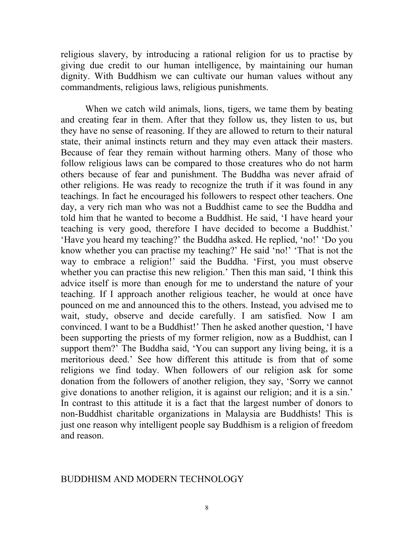religious slavery, by introducing a rational religion for us to practise by giving due credit to our human intelligence, by maintaining our human dignity. With Buddhism we can cultivate our human values without any commandments, religious laws, religious punishments.

When we catch wild animals, lions, tigers, we tame them by beating and creating fear in them. After that they follow us, they listen to us, but they have no sense of reasoning. If they are allowed to return to their natural state, their animal instincts return and they may even attack their masters. Because of fear they remain without harming others. Many of those who follow religious laws can be compared to those creatures who do not harm others because of fear and punishment. The Buddha was never afraid of other religions. He was ready to recognize the truth if it was found in any teachings. In fact he encouraged his followers to respect other teachers. One day, a very rich man who was not a Buddhist came to see the Buddha and told him that he wanted to become a Buddhist. He said, 'I have heard your teaching is very good, therefore I have decided to become a Buddhist.' 'Have you heard my teaching?' the Buddha asked. He replied, 'no!' 'Do you know whether you can practise my teaching?' He said 'no!' 'That is not the way to embrace a religion!' said the Buddha. 'First, you must observe whether you can practise this new religion.' Then this man said, 'I think this advice itself is more than enough for me to understand the nature of your teaching. If I approach another religious teacher, he would at once have pounced on me and announced this to the others. Instead, you advised me to wait, study, observe and decide carefully. I am satisfied. Now I am convinced. I want to be a Buddhist!' Then he asked another question, 'I have been supporting the priests of my former religion, now as a Buddhist, can I support them?' The Buddha said, 'You can support any living being, it is a meritorious deed.' See how different this attitude is from that of some religions we find today. When followers of our religion ask for some donation from the followers of another religion, they say, 'Sorry we cannot give donations to another religion, it is against our religion; and it is a sin.' In contrast to this attitude it is a fact that the largest number of donors to non-Buddhist charitable organizations in Malaysia are Buddhists! This is just one reason why intelligent people say Buddhism is a religion of freedom and reason.

## BUDDHISM AND MODERN TECHNOLOGY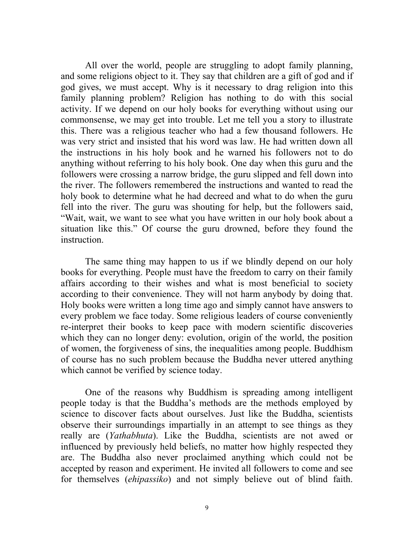All over the world, people are struggling to adopt family planning, and some religions object to it. They say that children are a gift of god and if god gives, we must accept. Why is it necessary to drag religion into this family planning problem? Religion has nothing to do with this social activity. If we depend on our holy books for everything without using our commonsense, we may get into trouble. Let me tell you a story to illustrate this. There was a religious teacher who had a few thousand followers. He was very strict and insisted that his word was law. He had written down all the instructions in his holy book and he warned his followers not to do anything without referring to his holy book. One day when this guru and the followers were crossing a narrow bridge, the guru slipped and fell down into the river. The followers remembered the instructions and wanted to read the holy book to determine what he had decreed and what to do when the guru fell into the river. The guru was shouting for help, but the followers said, "Wait, wait, we want to see what you have written in our holy book about a situation like this." Of course the guru drowned, before they found the instruction.

The same thing may happen to us if we blindly depend on our holy books for everything. People must have the freedom to carry on their family affairs according to their wishes and what is most beneficial to society according to their convenience. They will not harm anybody by doing that. Holy books were written a long time ago and simply cannot have answers to every problem we face today. Some religious leaders of course conveniently re-interpret their books to keep pace with modern scientific discoveries which they can no longer deny: evolution, origin of the world, the position of women, the forgiveness of sins, the inequalities among people. Buddhism of course has no such problem because the Buddha never uttered anything which cannot be verified by science today.

One of the reasons why Buddhism is spreading among intelligent people today is that the Buddha's methods are the methods employed by science to discover facts about ourselves. Just like the Buddha, scientists observe their surroundings impartially in an attempt to see things as they really are (*Yathabhuta*). Like the Buddha, scientists are not awed or influenced by previously held beliefs, no matter how highly respected they are. The Buddha also never proclaimed anything which could not be accepted by reason and experiment. He invited all followers to come and see for themselves (*ehipassiko*) and not simply believe out of blind faith.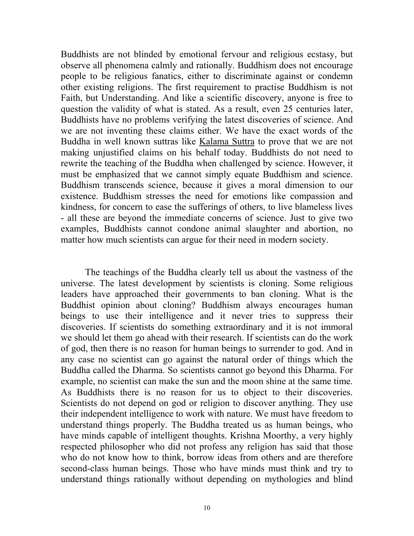Buddhists are not blinded by emotional fervour and religious ecstasy, but observe all phenomena calmly and rationally. Buddhism does not encourage people to be religious fanatics, either to discriminate against or condemn other existing religions. The first requirement to practise Buddhism is not Faith, but Understanding. And like a scientific discovery, anyone is free to question the validity of what is stated. As a result, even 25 centuries later, Buddhists have no problems verifying the latest discoveries of science. And we are not inventing these claims either. We have the exact words of the Buddha in well known suttras like Kalama Suttra to prove that we are not making unjustified claims on his behalf today. Buddhists do not need to rewrite the teaching of the Buddha when challenged by science. However, it must be emphasized that we cannot simply equate Buddhism and science. Buddhism transcends science, because it gives a moral dimension to our existence. Buddhism stresses the need for emotions like compassion and kindness, for concern to ease the sufferings of others, to live blameless lives - all these are beyond the immediate concerns of science. Just to give two examples, Buddhists cannot condone animal slaughter and abortion, no matter how much scientists can argue for their need in modern society.

The teachings of the Buddha clearly tell us about the vastness of the universe. The latest development by scientists is cloning. Some religious leaders have approached their governments to ban cloning. What is the Buddhist opinion about cloning? Buddhism always encourages human beings to use their intelligence and it never tries to suppress their discoveries. If scientists do something extraordinary and it is not immoral we should let them go ahead with their research. If scientists can do the work of god, then there is no reason for human beings to surrender to god. And in any case no scientist can go against the natural order of things which the Buddha called the Dharma. So scientists cannot go beyond this Dharma. For example, no scientist can make the sun and the moon shine at the same time. As Buddhists there is no reason for us to object to their discoveries. Scientists do not depend on god or religion to discover anything. They use their independent intelligence to work with nature. We must have freedom to understand things properly. The Buddha treated us as human beings, who have minds capable of intelligent thoughts. Krishna Moorthy, a very highly respected philosopher who did not profess any religion has said that those who do not know how to think, borrow ideas from others and are therefore second-class human beings. Those who have minds must think and try to understand things rationally without depending on mythologies and blind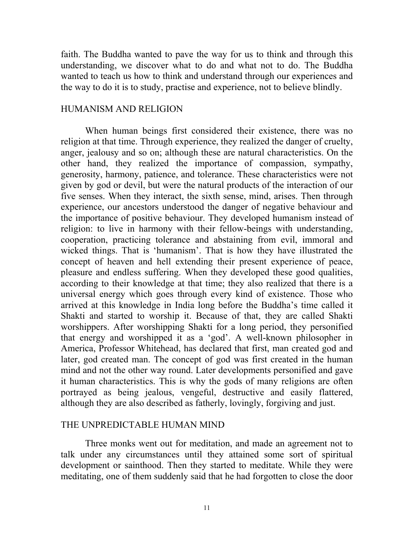faith. The Buddha wanted to pave the way for us to think and through this understanding, we discover what to do and what not to do. The Buddha wanted to teach us how to think and understand through our experiences and the way to do it is to study, practise and experience, not to believe blindly.

## HUMANISM AND RELIGION

When human beings first considered their existence, there was no religion at that time. Through experience, they realized the danger of cruelty, anger, jealousy and so on; although these are natural characteristics. On the other hand, they realized the importance of compassion, sympathy, generosity, harmony, patience, and tolerance. These characteristics were not given by god or devil, but were the natural products of the interaction of our five senses. When they interact, the sixth sense, mind, arises. Then through experience, our ancestors understood the danger of negative behaviour and the importance of positive behaviour. They developed humanism instead of religion: to live in harmony with their fellow-beings with understanding, cooperation, practicing tolerance and abstaining from evil, immoral and wicked things. That is 'humanism'. That is how they have illustrated the concept of heaven and hell extending their present experience of peace, pleasure and endless suffering. When they developed these good qualities, according to their knowledge at that time; they also realized that there is a universal energy which goes through every kind of existence. Those who arrived at this knowledge in India long before the Buddha's time called it Shakti and started to worship it. Because of that, they are called Shakti worshippers. After worshipping Shakti for a long period, they personified that energy and worshipped it as a 'god'. A well-known philosopher in America, Professor Whitehead, has declared that first, man created god and later, god created man. The concept of god was first created in the human mind and not the other way round. Later developments personified and gave it human characteristics. This is why the gods of many religions are often portrayed as being jealous, vengeful, destructive and easily flattered, although they are also described as fatherly, lovingly, forgiving and just.

## THE UNPREDICTABLE HUMAN MIND

Three monks went out for meditation, and made an agreement not to talk under any circumstances until they attained some sort of spiritual development or sainthood. Then they started to meditate. While they were meditating, one of them suddenly said that he had forgotten to close the door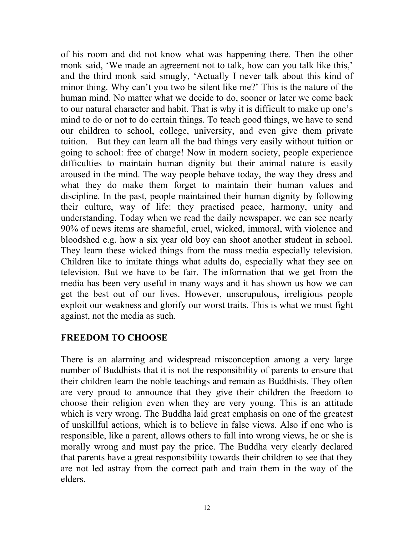of his room and did not know what was happening there. Then the other monk said, 'We made an agreement not to talk, how can you talk like this,' and the third monk said smugly, 'Actually I never talk about this kind of minor thing. Why can't you two be silent like me?' This is the nature of the human mind. No matter what we decide to do, sooner or later we come back to our natural character and habit. That is why it is difficult to make up one's mind to do or not to do certain things. To teach good things, we have to send our children to school, college, university, and even give them private tuition. But they can learn all the bad things very easily without tuition or going to school: free of charge! Now in modern society, people experience difficulties to maintain human dignity but their animal nature is easily aroused in the mind. The way people behave today, the way they dress and what they do make them forget to maintain their human values and discipline. In the past, people maintained their human dignity by following their culture, way of life: they practised peace, harmony, unity and understanding. Today when we read the daily newspaper, we can see nearly 90% of news items are shameful, cruel, wicked, immoral, with violence and bloodshed e.g. how a six year old boy can shoot another student in school. They learn these wicked things from the mass media especially television. Children like to imitate things what adults do, especially what they see on television. But we have to be fair. The information that we get from the media has been very useful in many ways and it has shown us how we can get the best out of our lives. However, unscrupulous, irreligious people exploit our weakness and glorify our worst traits. This is what we must fight against, not the media as such.

# **FREEDOM TO CHOOSE**

There is an alarming and widespread misconception among a very large number of Buddhists that it is not the responsibility of parents to ensure that their children learn the noble teachings and remain as Buddhists. They often are very proud to announce that they give their children the freedom to choose their religion even when they are very young. This is an attitude which is very wrong. The Buddha laid great emphasis on one of the greatest of unskillful actions, which is to believe in false views. Also if one who is responsible, like a parent, allows others to fall into wrong views, he or she is morally wrong and must pay the price. The Buddha very clearly declared that parents have a great responsibility towards their children to see that they are not led astray from the correct path and train them in the way of the elders.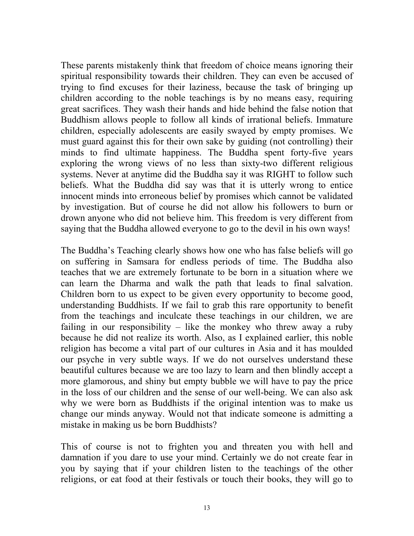These parents mistakenly think that freedom of choice means ignoring their spiritual responsibility towards their children. They can even be accused of trying to find excuses for their laziness, because the task of bringing up children according to the noble teachings is by no means easy, requiring great sacrifices. They wash their hands and hide behind the false notion that Buddhism allows people to follow all kinds of irrational beliefs. Immature children, especially adolescents are easily swayed by empty promises. We must guard against this for their own sake by guiding (not controlling) their minds to find ultimate happiness. The Buddha spent forty-five years exploring the wrong views of no less than sixty-two different religious systems. Never at anytime did the Buddha say it was RIGHT to follow such beliefs. What the Buddha did say was that it is utterly wrong to entice innocent minds into erroneous belief by promises which cannot be validated by investigation. But of course he did not allow his followers to burn or drown anyone who did not believe him. This freedom is very different from saying that the Buddha allowed everyone to go to the devil in his own ways!

The Buddha's Teaching clearly shows how one who has false beliefs will go on suffering in Samsara for endless periods of time. The Buddha also teaches that we are extremely fortunate to be born in a situation where we can learn the Dharma and walk the path that leads to final salvation. Children born to us expect to be given every opportunity to become good, understanding Buddhists. If we fail to grab this rare opportunity to benefit from the teachings and inculcate these teachings in our children, we are failing in our responsibility – like the monkey who threw away a ruby because he did not realize its worth. Also, as I explained earlier, this noble religion has become a vital part of our cultures in Asia and it has moulded our psyche in very subtle ways. If we do not ourselves understand these beautiful cultures because we are too lazy to learn and then blindly accept a more glamorous, and shiny but empty bubble we will have to pay the price in the loss of our children and the sense of our well-being. We can also ask why we were born as Buddhists if the original intention was to make us change our minds anyway. Would not that indicate someone is admitting a mistake in making us be born Buddhists?

This of course is not to frighten you and threaten you with hell and damnation if you dare to use your mind. Certainly we do not create fear in you by saying that if your children listen to the teachings of the other religions, or eat food at their festivals or touch their books, they will go to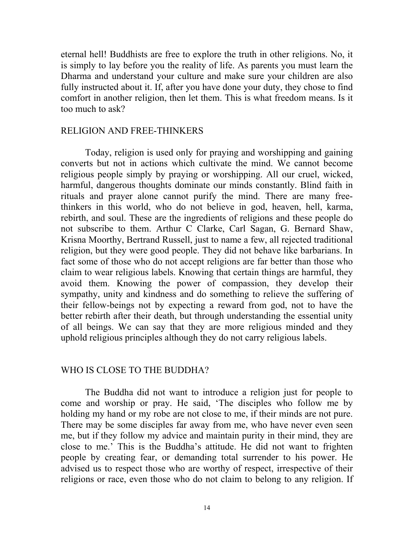eternal hell! Buddhists are free to explore the truth in other religions. No, it is simply to lay before you the reality of life. As parents you must learn the Dharma and understand your culture and make sure your children are also fully instructed about it. If, after you have done your duty, they chose to find comfort in another religion, then let them. This is what freedom means. Is it too much to ask?

## RELIGION AND FREE-THINKERS

Today, religion is used only for praying and worshipping and gaining converts but not in actions which cultivate the mind. We cannot become religious people simply by praying or worshipping. All our cruel, wicked, harmful, dangerous thoughts dominate our minds constantly. Blind faith in rituals and prayer alone cannot purify the mind. There are many freethinkers in this world, who do not believe in god, heaven, hell, karma, rebirth, and soul. These are the ingredients of religions and these people do not subscribe to them. Arthur C Clarke, Carl Sagan, G. Bernard Shaw, Krisna Moorthy, Bertrand Russell, just to name a few, all rejected traditional religion, but they were good people. They did not behave like barbarians. In fact some of those who do not accept religions are far better than those who claim to wear religious labels. Knowing that certain things are harmful, they avoid them. Knowing the power of compassion, they develop their sympathy, unity and kindness and do something to relieve the suffering of their fellow-beings not by expecting a reward from god, not to have the better rebirth after their death, but through understanding the essential unity of all beings. We can say that they are more religious minded and they uphold religious principles although they do not carry religious labels.

## WHO IS CLOSE TO THE BUDDHA?

The Buddha did not want to introduce a religion just for people to come and worship or pray. He said, 'The disciples who follow me by holding my hand or my robe are not close to me, if their minds are not pure. There may be some disciples far away from me, who have never even seen me, but if they follow my advice and maintain purity in their mind, they are close to me.' This is the Buddha's attitude. He did not want to frighten people by creating fear, or demanding total surrender to his power. He advised us to respect those who are worthy of respect, irrespective of their religions or race, even those who do not claim to belong to any religion. If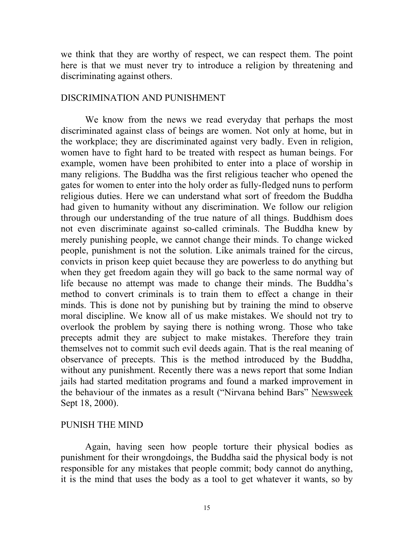we think that they are worthy of respect, we can respect them. The point here is that we must never try to introduce a religion by threatening and discriminating against others.

# DISCRIMINATION AND PUNISHMENT

We know from the news we read everyday that perhaps the most discriminated against class of beings are women. Not only at home, but in the workplace; they are discriminated against very badly. Even in religion, women have to fight hard to be treated with respect as human beings. For example, women have been prohibited to enter into a place of worship in many religions. The Buddha was the first religious teacher who opened the gates for women to enter into the holy order as fully-fledged nuns to perform religious duties. Here we can understand what sort of freedom the Buddha had given to humanity without any discrimination. We follow our religion through our understanding of the true nature of all things. Buddhism does not even discriminate against so-called criminals. The Buddha knew by merely punishing people, we cannot change their minds. To change wicked people, punishment is not the solution. Like animals trained for the circus, convicts in prison keep quiet because they are powerless to do anything but when they get freedom again they will go back to the same normal way of life because no attempt was made to change their minds. The Buddha's method to convert criminals is to train them to effect a change in their minds. This is done not by punishing but by training the mind to observe moral discipline. We know all of us make mistakes. We should not try to overlook the problem by saying there is nothing wrong. Those who take precepts admit they are subject to make mistakes. Therefore they train themselves not to commit such evil deeds again. That is the real meaning of observance of precepts. This is the method introduced by the Buddha, without any punishment. Recently there was a news report that some Indian jails had started meditation programs and found a marked improvement in the behaviour of the inmates as a result ("Nirvana behind Bars" Newsweek Sept 18, 2000).

## PUNISH THE MIND

Again, having seen how people torture their physical bodies as punishment for their wrongdoings, the Buddha said the physical body is not responsible for any mistakes that people commit; body cannot do anything, it is the mind that uses the body as a tool to get whatever it wants, so by